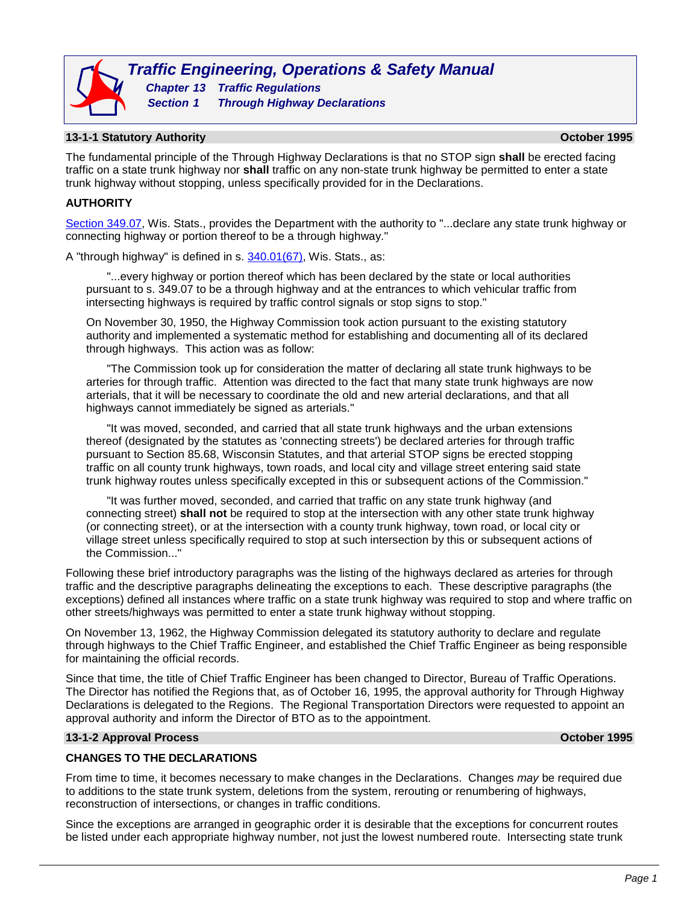

### **13-1-1 Statutory Authority October 1995**

The fundamental principle of the Through Highway Declarations is that no STOP sign **shall** be erected facing traffic on a state trunk highway nor **shall** traffic on any non-state trunk highway be permitted to enter a state trunk highway without stopping, unless specifically provided for in the Declarations.

## **AUTHORITY**

[Section 349.07,](http://docs.legis.wisconsin.gov/statutes/statutes/349/II/07) Wis. Stats., provides the Department with the authority to "...declare any state trunk highway or connecting highway or portion thereof to be a through highway."

A "through highway" is defined in s. [340.01\(67\),](http://docs.legis.wisconsin.gov/statutes/statutes/340/01/67n) Wis. Stats., as:

"...every highway or portion thereof which has been declared by the state or local authorities pursuant to s. 349.07 to be a through highway and at the entrances to which vehicular traffic from intersecting highways is required by traffic control signals or stop signs to stop."

On November 30, 1950, the Highway Commission took action pursuant to the existing statutory authority and implemented a systematic method for establishing and documenting all of its declared through highways. This action was as follow:

"The Commission took up for consideration the matter of declaring all state trunk highways to be arteries for through traffic. Attention was directed to the fact that many state trunk highways are now arterials, that it will be necessary to coordinate the old and new arterial declarations, and that all highways cannot immediately be signed as arterials."

"It was moved, seconded, and carried that all state trunk highways and the urban extensions thereof (designated by the statutes as 'connecting streets') be declared arteries for through traffic pursuant to Section 85.68, Wisconsin Statutes, and that arterial STOP signs be erected stopping traffic on all county trunk highways, town roads, and local city and village street entering said state trunk highway routes unless specifically excepted in this or subsequent actions of the Commission."

"It was further moved, seconded, and carried that traffic on any state trunk highway (and connecting street) **shall not** be required to stop at the intersection with any other state trunk highway (or connecting street), or at the intersection with a county trunk highway, town road, or local city or village street unless specifically required to stop at such intersection by this or subsequent actions of the Commission..."

Following these brief introductory paragraphs was the listing of the highways declared as arteries for through traffic and the descriptive paragraphs delineating the exceptions to each. These descriptive paragraphs (the exceptions) defined all instances where traffic on a state trunk highway was required to stop and where traffic on other streets/highways was permitted to enter a state trunk highway without stopping.

On November 13, 1962, the Highway Commission delegated its statutory authority to declare and regulate through highways to the Chief Traffic Engineer, and established the Chief Traffic Engineer as being responsible for maintaining the official records.

Since that time, the title of Chief Traffic Engineer has been changed to Director, Bureau of Traffic Operations. The Director has notified the Regions that, as of October 16, 1995, the approval authority for Through Highway Declarations is delegated to the Regions. The Regional Transportation Directors were requested to appoint an approval authority and inform the Director of BTO as to the appointment.

#### **13-1-2 Approval Process October 1995**

#### **CHANGES TO THE DECLARATIONS**

From time to time, it becomes necessary to make changes in the Declarations. Changes *may* be required due to additions to the state trunk system, deletions from the system, rerouting or renumbering of highways, reconstruction of intersections, or changes in traffic conditions.

Since the exceptions are arranged in geographic order it is desirable that the exceptions for concurrent routes be listed under each appropriate highway number, not just the lowest numbered route. Intersecting state trunk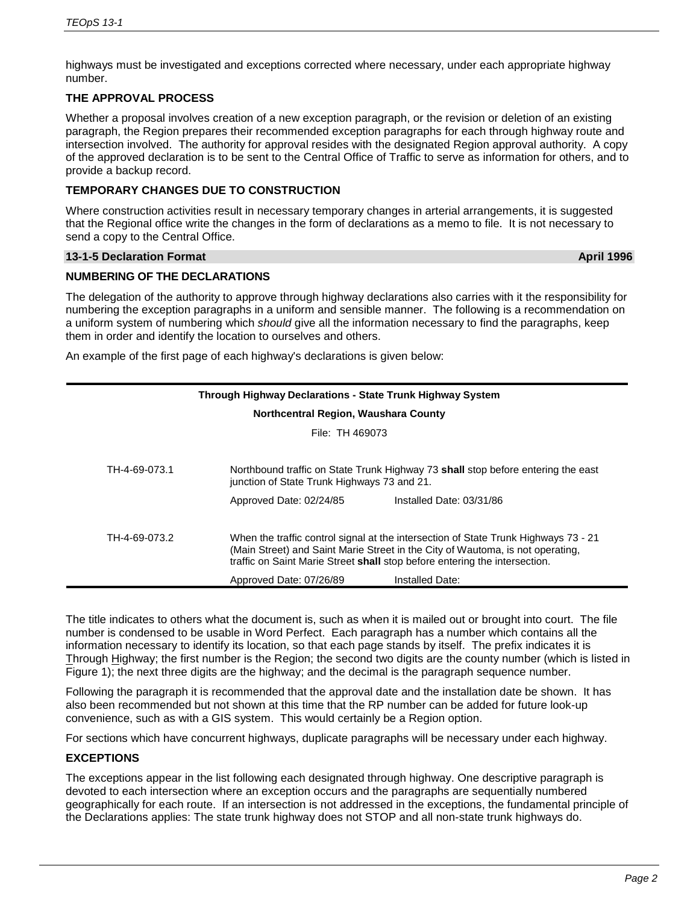highways must be investigated and exceptions corrected where necessary, under each appropriate highway number.

# **THE APPROVAL PROCESS**

Whether a proposal involves creation of a new exception paragraph, or the revision or deletion of an existing paragraph, the Region prepares their recommended exception paragraphs for each through highway route and intersection involved. The authority for approval resides with the designated Region approval authority. A copy of the approved declaration is to be sent to the Central Office of Traffic to serve as information for others, and to provide a backup record.

## **TEMPORARY CHANGES DUE TO CONSTRUCTION**

Where construction activities result in necessary temporary changes in arterial arrangements, it is suggested that the Regional office write the changes in the form of declarations as a memo to file. It is not necessary to send a copy to the Central Office.

#### **13-1-5 Declaration Format April 1996**

# **NUMBERING OF THE DECLARATIONS**

The delegation of the authority to approve through highway declarations also carries with it the responsibility for numbering the exception paragraphs in a uniform and sensible manner. The following is a recommendation on a uniform system of numbering which *should* give all the information necessary to find the paragraphs, keep them in order and identify the location to ourselves and others.

An example of the first page of each highway's declarations is given below:

| <b>Through Highway Declarations - State Trunk Highway System</b> |                                                                                                                                                                                                                                                                                                   |  |  |  |
|------------------------------------------------------------------|---------------------------------------------------------------------------------------------------------------------------------------------------------------------------------------------------------------------------------------------------------------------------------------------------|--|--|--|
| Northcentral Region, Waushara County                             |                                                                                                                                                                                                                                                                                                   |  |  |  |
| File: TH 469073                                                  |                                                                                                                                                                                                                                                                                                   |  |  |  |
| TH-4-69-073.1                                                    | Northbound traffic on State Trunk Highway 73 shall stop before entering the east<br>junction of State Trunk Highways 73 and 21.                                                                                                                                                                   |  |  |  |
|                                                                  | Installed Date: 03/31/86<br>Approved Date: 02/24/85                                                                                                                                                                                                                                               |  |  |  |
| TH-4-69-073.2                                                    | When the traffic control signal at the intersection of State Trunk Highways 73 - 21<br>(Main Street) and Saint Marie Street in the City of Wautoma, is not operating,<br>traffic on Saint Marie Street shall stop before entering the intersection.<br>Approved Date: 07/26/89<br>Installed Date: |  |  |  |

The title indicates to others what the document is, such as when it is mailed out or brought into court. The file number is condensed to be usable in Word Perfect. Each paragraph has a number which contains all the information necessary to identify its location, so that each page stands by itself. The prefix indicates it is Through Highway; the first number is the Region; the second two digits are the county number (which is listed in Figure 1); the next three digits are the highway; and the decimal is the paragraph sequence number.

Following the paragraph it is recommended that the approval date and the installation date be shown. It has also been recommended but not shown at this time that the RP number can be added for future look-up convenience, such as with a GIS system. This would certainly be a Region option.

For sections which have concurrent highways, duplicate paragraphs will be necessary under each highway.

# **EXCEPTIONS**

The exceptions appear in the list following each designated through highway. One descriptive paragraph is devoted to each intersection where an exception occurs and the paragraphs are sequentially numbered geographically for each route. If an intersection is not addressed in the exceptions, the fundamental principle of the Declarations applies: The state trunk highway does not STOP and all non-state trunk highways do.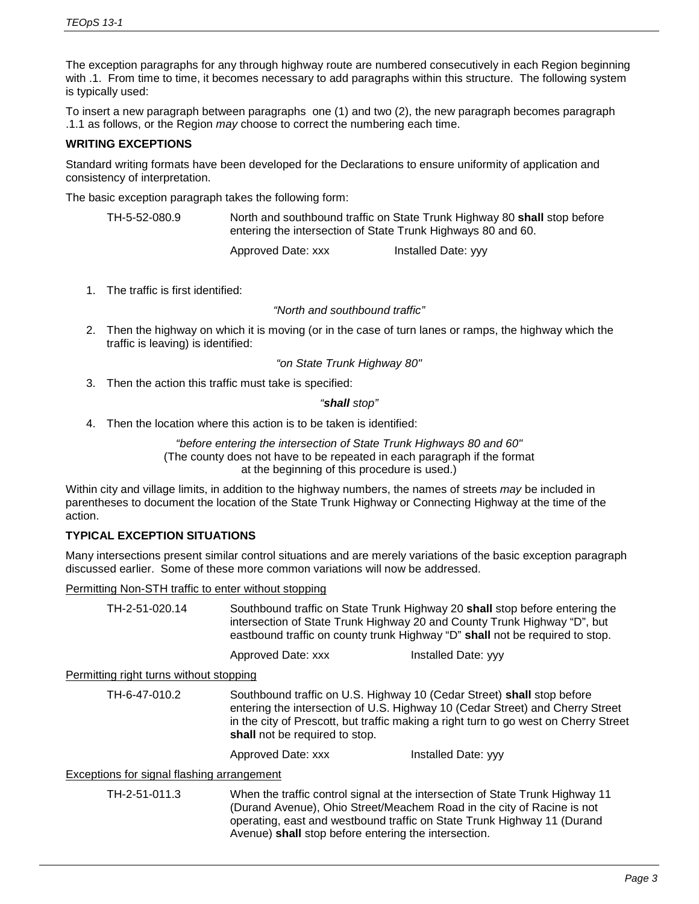The exception paragraphs for any through highway route are numbered consecutively in each Region beginning with .1. From time to time, it becomes necessary to add paragraphs within this structure. The following system is typically used:

To insert a new paragraph between paragraphs one (1) and two (2), the new paragraph becomes paragraph .1.1 as follows, or the Region *may* choose to correct the numbering each time.

## **WRITING EXCEPTIONS**

Standard writing formats have been developed for the Declarations to ensure uniformity of application and consistency of interpretation.

The basic exception paragraph takes the following form:

| North and southbound traffic on State Trunk Highway 80 shall stop before |
|--------------------------------------------------------------------------|
| entering the intersection of State Trunk Highways 80 and 60.             |
|                                                                          |

Approved Date: xxx Installed Date: yyy

1. The traffic is first identified:

*"North and southbound traffic"*

2. Then the highway on which it is moving (or in the case of turn lanes or ramps, the highway which the traffic is leaving) is identified:

*"on State Trunk Highway 80"*

3. Then the action this traffic must take is specified:

*"shall stop"*

4. Then the location where this action is to be taken is identified:

*"before entering the intersection of State Trunk Highways 80 and 60"*  (The county does not have to be repeated in each paragraph if the format at the beginning of this procedure is used.)

Within city and village limits, in addition to the highway numbers, the names of streets *may* be included in parentheses to document the location of the State Trunk Highway or Connecting Highway at the time of the action.

# **TYPICAL EXCEPTION SITUATIONS**

Many intersections present similar control situations and are merely variations of the basic exception paragraph discussed earlier. Some of these more common variations will now be addressed.

### Permitting Non-STH traffic to enter without stopping

TH-2-51-020.14 Southbound traffic on State Trunk Highway 20 **shall** stop before entering the intersection of State Trunk Highway 20 and County Trunk Highway "D", but eastbound traffic on county trunk Highway "D" **shall** not be required to stop.

Approved Date: xxx Installed Date: yyy

Permitting right turns without stopping

TH-6-47-010.2 Southbound traffic on U.S. Highway 10 (Cedar Street) **shall** stop before entering the intersection of U.S. Highway 10 (Cedar Street) and Cherry Street in the city of Prescott, but traffic making a right turn to go west on Cherry Street **shall** not be required to stop.

Approved Date: xxx Installed Date: yyy

#### Exceptions for signal flashing arrangement

TH-2-51-011.3 When the traffic control signal at the intersection of State Trunk Highway 11 (Durand Avenue), Ohio Street/Meachem Road in the city of Racine is not operating, east and westbound traffic on State Trunk Highway 11 (Durand Avenue) **shall** stop before entering the intersection.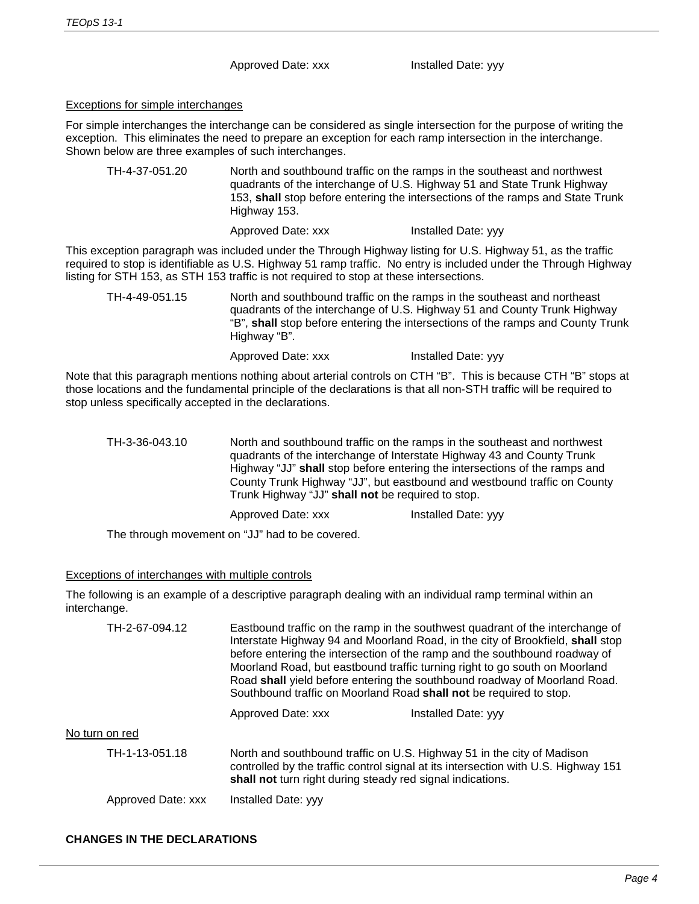Approved Date: xxx Installed Date: yyy

# Exceptions for simple interchanges

For simple interchanges the interchange can be considered as single intersection for the purpose of writing the exception. This eliminates the need to prepare an exception for each ramp intersection in the interchange. Shown below are three examples of such interchanges.

TH-4-37-051.20 North and southbound traffic on the ramps in the southeast and northwest quadrants of the interchange of U.S. Highway 51 and State Trunk Highway 153, **shall** stop before entering the intersections of the ramps and State Trunk Highway 153.

Approved Date: xxx Installed Date: yyy

This exception paragraph was included under the Through Highway listing for U.S. Highway 51, as the traffic required to stop is identifiable as U.S. Highway 51 ramp traffic. No entry is included under the Through Highway listing for STH 153, as STH 153 traffic is not required to stop at these intersections.

TH-4-49-051.15 North and southbound traffic on the ramps in the southeast and northeast quadrants of the interchange of U.S. Highway 51 and County Trunk Highway "B", **shall** stop before entering the intersections of the ramps and County Trunk Highway "B".

Approved Date: xxx Installed Date: yyy

Note that this paragraph mentions nothing about arterial controls on CTH "B". This is because CTH "B" stops at those locations and the fundamental principle of the declarations is that all non-STH traffic will be required to stop unless specifically accepted in the declarations.

```
TH-3-36-043.10 North and southbound traffic on the ramps in the southeast and northwest 
          quadrants of the interchange of Interstate Highway 43 and County Trunk 
          Highway "JJ" shall stop before entering the intersections of the ramps and 
          County Trunk Highway "JJ", but eastbound and westbound traffic on County 
          Trunk Highway "JJ" shall not be required to stop.
          Approved Date: xxx Installed Date: yyy
```
The through movement on "JJ" had to be covered.

# Exceptions of interchanges with multiple controls

The following is an example of a descriptive paragraph dealing with an individual ramp terminal within an interchange.

| TH-2-67-094.12     | Eastbound traffic on the ramp in the southwest quadrant of the interchange of<br>Interstate Highway 94 and Moorland Road, in the city of Brookfield, shall stop<br>before entering the intersection of the ramp and the southbound roadway of<br>Moorland Road, but eastbound traffic turning right to go south on Moorland<br>Road shall yield before entering the southbound roadway of Moorland Road.<br>Southbound traffic on Moorland Road shall not be required to stop. |                     |  |
|--------------------|--------------------------------------------------------------------------------------------------------------------------------------------------------------------------------------------------------------------------------------------------------------------------------------------------------------------------------------------------------------------------------------------------------------------------------------------------------------------------------|---------------------|--|
|                    | Approved Date: xxx                                                                                                                                                                                                                                                                                                                                                                                                                                                             | Installed Date: yyy |  |
| No turn on red     |                                                                                                                                                                                                                                                                                                                                                                                                                                                                                |                     |  |
| TH-1-13-051.18     | North and southbound traffic on U.S. Highway 51 in the city of Madison<br>controlled by the traffic control signal at its intersection with U.S. Highway 151<br>shall not turn right during steady red signal indications.                                                                                                                                                                                                                                                     |                     |  |
| Approved Date: xxx | Installed Date: yyy                                                                                                                                                                                                                                                                                                                                                                                                                                                            |                     |  |

# **CHANGES IN THE DECLARATIONS**